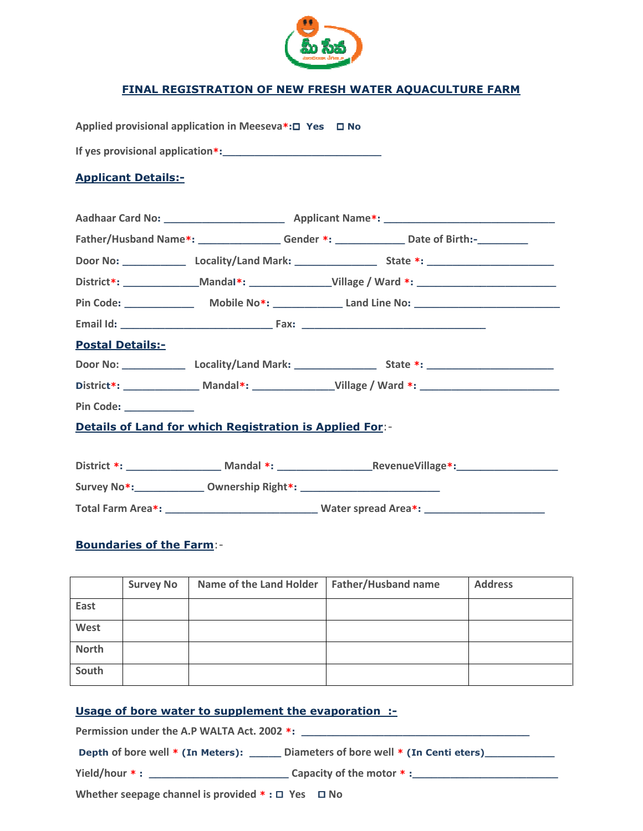

## <u>FINAL REGISTRATION OF NEW FRESH WATER AQUACULTURE FARM</u>

| Applied provisional application in Meeseva*:□ Yes □ No                           |  |  |                                                                                              |  |  |  |
|----------------------------------------------------------------------------------|--|--|----------------------------------------------------------------------------------------------|--|--|--|
|                                                                                  |  |  |                                                                                              |  |  |  |
| <b>Applicant Details:-</b>                                                       |  |  |                                                                                              |  |  |  |
|                                                                                  |  |  |                                                                                              |  |  |  |
|                                                                                  |  |  |                                                                                              |  |  |  |
|                                                                                  |  |  | Father/Husband Name*: __________________Gender *: ________________Date of Birth:-___________ |  |  |  |
|                                                                                  |  |  |                                                                                              |  |  |  |
|                                                                                  |  |  |                                                                                              |  |  |  |
|                                                                                  |  |  |                                                                                              |  |  |  |
|                                                                                  |  |  |                                                                                              |  |  |  |
| <b>Postal Details:-</b>                                                          |  |  |                                                                                              |  |  |  |
|                                                                                  |  |  |                                                                                              |  |  |  |
|                                                                                  |  |  |                                                                                              |  |  |  |
| Pin Code: <u>New York Code:</u>                                                  |  |  |                                                                                              |  |  |  |
| <b>Details of Land for which Registration is Applied For:-</b>                   |  |  |                                                                                              |  |  |  |
|                                                                                  |  |  |                                                                                              |  |  |  |
|                                                                                  |  |  |                                                                                              |  |  |  |
| Survey No*: _______________ Ownership Right*: __________________________________ |  |  |                                                                                              |  |  |  |
|                                                                                  |  |  |                                                                                              |  |  |  |
| <b>Boundaries of the Farm:-</b>                                                  |  |  |                                                                                              |  |  |  |

|              | <b>Survey No</b> | Name of the Land Holder   Father/Husband name | <b>Address</b> |
|--------------|------------------|-----------------------------------------------|----------------|
| East         |                  |                                               |                |
| West         |                  |                                               |                |
| <b>North</b> |                  |                                               |                |
| South        |                  |                                               |                |

## Usage of bore water to supplement the evaporation :-

Permission under the A.P WALTA Act. under the 2002 \*: \_\_\_\_\_\_\_\_\_\_\_\_\_\_\_\_\_\_\_\_\_\_\_\_\_\_\_\_\_\_\_\_\_\_ \_\_\_\_\_\_\_\_\_\_\_\_\_\_\_\_\_\_\_\_\_\_\_\_\_\_\_\_\_\_\_\_

Depth of bore well \* (In Meters): \_\_\_\_\_\_ Diameters of bore well \* (In Centi eters)\_\_\_\_\_\_\_\_\_\_\_

Yield/hour \* : \_\_\_\_\_\_\_\_\_\_\_\_\_\_\_\_\_\_\_\_ \_\_\_\_\_\_\_\_\_\_\_\_\_ Capacity of the motor \* :\_\_\_\_\_\_\_\_\_\_\_\_\_\_\_\_\_\_\_\_\_\_\_ \_\_\_\_\_\_\_\_\_\_\_\_\_\_\_\_\_\_\_\_\_\_\_

Whether seepage channel is provided  $* : \square$  Yes  $\square$  No